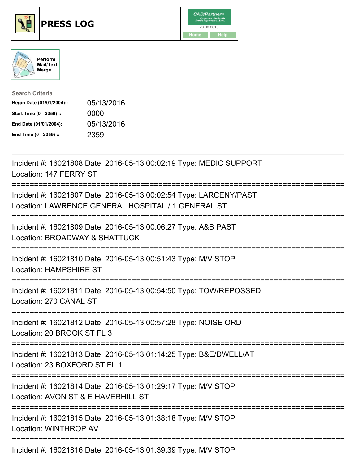

## **PRESS LOG** v8.00.0013





| <b>Search Criteria</b>    |            |
|---------------------------|------------|
| Begin Date (01/01/2004):: | 05/13/2016 |
| Start Time (0 - 2359) ::  | 0000       |
| End Date (01/01/2004)::   | 05/13/2016 |
| End Time (0 - 2359) ::    | 2359       |

Incident #: 16021808 Date: 2016-05-13 00:02:19 Type: MEDIC SUPPORT Location: 147 FERRY ST =========================================================================== Incident #: 16021807 Date: 2016-05-13 00:02:54 Type: LARCENY/PAST Location: LAWRENCE GENERAL HOSPITAL / 1 GENERAL ST =========================================================================== Incident #: 16021809 Date: 2016-05-13 00:06:27 Type: A&B PAST Location: BROADWAY & SHATTUCK =========================================================================== Incident #: 16021810 Date: 2016-05-13 00:51:43 Type: M/V STOP Location: HAMPSHIRE ST =========================================================================== Incident #: 16021811 Date: 2016-05-13 00:54:50 Type: TOW/REPOSSED Location: 270 CANAL ST =========================================================================== Incident #: 16021812 Date: 2016-05-13 00:57:28 Type: NOISE ORD Location: 20 BROOK ST FL 3 =========================================================================== Incident #: 16021813 Date: 2016-05-13 01:14:25 Type: B&E/DWELL/AT Location: 23 BOXFORD ST FL 1 =========================================================================== Incident #: 16021814 Date: 2016-05-13 01:29:17 Type: M/V STOP Location: AVON ST & E HAVERHILL ST =========================================================================== Incident #: 16021815 Date: 2016-05-13 01:38:18 Type: M/V STOP Location: WINTHROP AV ===========================================================================

Incident #: 16021816 Date: 2016-05-13 01:39:39 Type: M/V STOP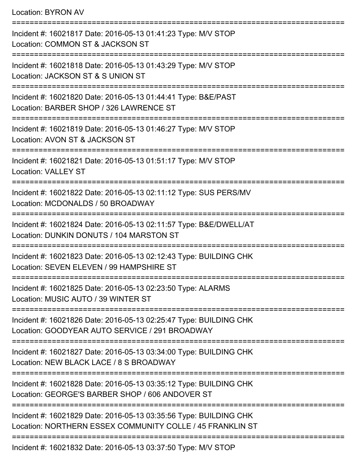Location: BYRON AV

=========================================================================== Incident #: 16021817 Date: 2016-05-13 01:41:23 Type: M/V STOP Location: COMMON ST & JACKSON ST =========================================================================== Incident #: 16021818 Date: 2016-05-13 01:43:29 Type: M/V STOP Location: JACKSON ST & S UNION ST =========================================================================== Incident #: 16021820 Date: 2016-05-13 01:44:41 Type: B&E/PAST Location: BARBER SHOP / 326 LAWRENCE ST =========================================================================== Incident #: 16021819 Date: 2016-05-13 01:46:27 Type: M/V STOP Location: AVON ST & JACKSON ST =========================================================================== Incident #: 16021821 Date: 2016-05-13 01:51:17 Type: M/V STOP Location: VALLEY ST =========================================================================== Incident #: 16021822 Date: 2016-05-13 02:11:12 Type: SUS PERS/MV Location: MCDONALDS / 50 BROADWAY =========================================================================== Incident #: 16021824 Date: 2016-05-13 02:11:57 Type: B&E/DWELL/AT Location: DUNKIN DONUTS / 104 MARSTON ST =========================================================================== Incident #: 16021823 Date: 2016-05-13 02:12:43 Type: BUILDING CHK Location: SEVEN ELEVEN / 99 HAMPSHIRE ST =========================================================================== Incident #: 16021825 Date: 2016-05-13 02:23:50 Type: ALARMS Location: MUSIC AUTO / 39 WINTER ST =========================================================================== Incident #: 16021826 Date: 2016-05-13 02:25:47 Type: BUILDING CHK Location: GOODYEAR AUTO SERVICE / 291 BROADWAY =========================================================================== Incident #: 16021827 Date: 2016-05-13 03:34:00 Type: BUILDING CHK Location: NEW BLACK LACE / 8 S BROADWAY =========================================================================== Incident #: 16021828 Date: 2016-05-13 03:35:12 Type: BUILDING CHK Location: GEORGE'S BARBER SHOP / 606 ANDOVER ST =========================================================================== Incident #: 16021829 Date: 2016-05-13 03:35:56 Type: BUILDING CHK Location: NORTHERN ESSEX COMMUNITY COLLE / 45 FRANKLIN ST ===========================================================================

Incident #: 16021832 Date: 2016-05-13 03:37:50 Type: M/V STOP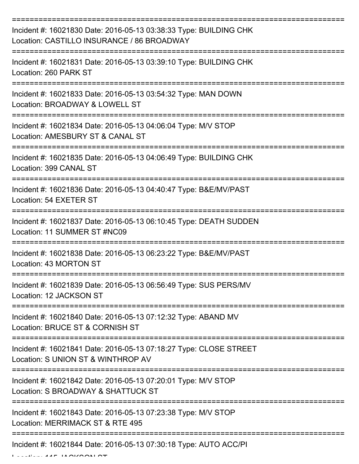| Incident #: 16021830 Date: 2016-05-13 03:38:33 Type: BUILDING CHK<br>Location: CASTILLO INSURANCE / 86 BROADWAY |
|-----------------------------------------------------------------------------------------------------------------|
| Incident #: 16021831 Date: 2016-05-13 03:39:10 Type: BUILDING CHK<br>Location: 260 PARK ST                      |
| Incident #: 16021833 Date: 2016-05-13 03:54:32 Type: MAN DOWN<br>Location: BROADWAY & LOWELL ST                 |
| Incident #: 16021834 Date: 2016-05-13 04:06:04 Type: M/V STOP<br>Location: AMESBURY ST & CANAL ST               |
| Incident #: 16021835 Date: 2016-05-13 04:06:49 Type: BUILDING CHK<br>Location: 399 CANAL ST                     |
| Incident #: 16021836 Date: 2016-05-13 04:40:47 Type: B&E/MV/PAST<br>Location: 54 EXETER ST                      |
| Incident #: 16021837 Date: 2016-05-13 06:10:45 Type: DEATH SUDDEN<br>Location: 11 SUMMER ST #NC09               |
| Incident #: 16021838 Date: 2016-05-13 06:23:22 Type: B&E/MV/PAST<br>Location: 43 MORTON ST                      |
| Incident #: 16021839 Date: 2016-05-13 06:56:49 Type: SUS PERS/MV<br>Location: 12 JACKSON ST                     |
| Incident #: 16021840 Date: 2016-05-13 07:12:32 Type: ABAND MV<br>Location: BRUCE ST & CORNISH ST                |
| Incident #: 16021841 Date: 2016-05-13 07:18:27 Type: CLOSE STREET<br>Location: S UNION ST & WINTHROP AV         |
| Incident #: 16021842 Date: 2016-05-13 07:20:01 Type: M/V STOP<br>Location: S BROADWAY & SHATTUCK ST             |
| Incident #: 16021843 Date: 2016-05-13 07:23:38 Type: M/V STOP<br>Location: MERRIMACK ST & RTE 495               |
| Incident #: 16021844 Date: 2016-05-13 07:30:18 Type: AUTO ACC/PI                                                |

 $L = L L L L L L L L L F$  IA OIZOONI OT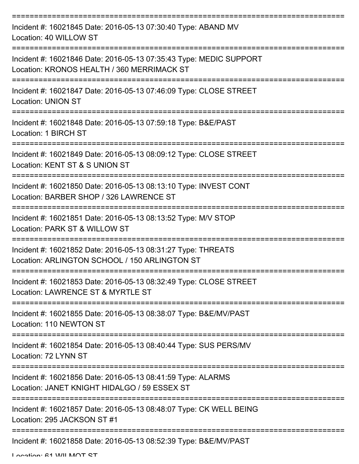| Incident #: 16021845 Date: 2016-05-13 07:30:40 Type: ABAND MV<br>Location: 40 WILLOW ST                                                          |
|--------------------------------------------------------------------------------------------------------------------------------------------------|
| Incident #: 16021846 Date: 2016-05-13 07:35:43 Type: MEDIC SUPPORT<br>Location: KRONOS HEALTH / 360 MERRIMACK ST                                 |
| Incident #: 16021847 Date: 2016-05-13 07:46:09 Type: CLOSE STREET<br><b>Location: UNION ST</b>                                                   |
| Incident #: 16021848 Date: 2016-05-13 07:59:18 Type: B&E/PAST<br>Location: 1 BIRCH ST                                                            |
| Incident #: 16021849 Date: 2016-05-13 08:09:12 Type: CLOSE STREET<br>Location: KENT ST & S UNION ST                                              |
| =================================<br>Incident #: 16021850 Date: 2016-05-13 08:13:10 Type: INVEST CONT<br>Location: BARBER SHOP / 326 LAWRENCE ST |
| Incident #: 16021851 Date: 2016-05-13 08:13:52 Type: M/V STOP<br>Location: PARK ST & WILLOW ST<br>:===========                                   |
| Incident #: 16021852 Date: 2016-05-13 08:31:27 Type: THREATS<br>Location: ARLINGTON SCHOOL / 150 ARLINGTON ST                                    |
| Incident #: 16021853 Date: 2016-05-13 08:32:49 Type: CLOSE STREET<br>Location: LAWRENCE ST & MYRTLE ST                                           |
| Incident #: 16021855 Date: 2016-05-13 08:38:07 Type: B&E/MV/PAST<br>Location: 110 NEWTON ST                                                      |
| Incident #: 16021854 Date: 2016-05-13 08:40:44 Type: SUS PERS/MV<br>Location: 72 LYNN ST                                                         |
| Incident #: 16021856 Date: 2016-05-13 08:41:59 Type: ALARMS<br>Location: JANET KNIGHT HIDALGO / 59 ESSEX ST                                      |
| Incident #: 16021857 Date: 2016-05-13 08:48:07 Type: CK WELL BEING<br>Location: 295 JACKSON ST #1                                                |
| Incident #: 16021858 Date: 2016-05-13 08:52:39 Type: B&E/MV/PAST                                                                                 |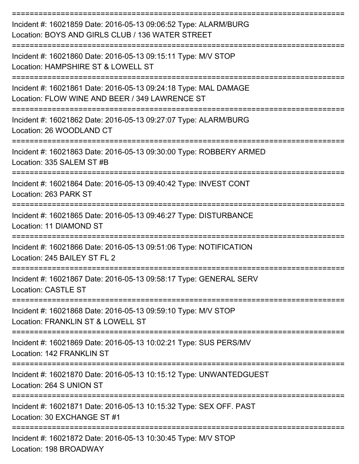| Incident #: 16021859 Date: 2016-05-13 09:06:52 Type: ALARM/BURG<br>Location: BOYS AND GIRLS CLUB / 136 WATER STREET                                  |
|------------------------------------------------------------------------------------------------------------------------------------------------------|
| Incident #: 16021860 Date: 2016-05-13 09:15:11 Type: M/V STOP<br>Location: HAMPSHIRE ST & LOWELL ST                                                  |
| Incident #: 16021861 Date: 2016-05-13 09:24:18 Type: MAL DAMAGE<br>Location: FLOW WINE AND BEER / 349 LAWRENCE ST                                    |
| Incident #: 16021862 Date: 2016-05-13 09:27:07 Type: ALARM/BURG<br>Location: 26 WOODLAND CT                                                          |
| Incident #: 16021863 Date: 2016-05-13 09:30:00 Type: ROBBERY ARMED<br>Location: 335 SALEM ST #B                                                      |
| Incident #: 16021864 Date: 2016-05-13 09:40:42 Type: INVEST CONT<br>Location: 263 PARK ST                                                            |
| Incident #: 16021865 Date: 2016-05-13 09:46:27 Type: DISTURBANCE<br>Location: 11 DIAMOND ST                                                          |
| Incident #: 16021866 Date: 2016-05-13 09:51:06 Type: NOTIFICATION<br>Location: 245 BAILEY ST FL 2                                                    |
| Incident #: 16021867 Date: 2016-05-13 09:58:17 Type: GENERAL SERV<br><b>Location: CASTLE ST</b>                                                      |
| :===================<br>______________________<br>Incident #: 16021868 Date: 2016-05-13 09:59:10 Type: M/V STOP<br>Location: FRANKLIN ST & LOWELL ST |
| Incident #: 16021869 Date: 2016-05-13 10:02:21 Type: SUS PERS/MV<br>Location: 142 FRANKLIN ST                                                        |
| Incident #: 16021870 Date: 2016-05-13 10:15:12 Type: UNWANTEDGUEST<br>Location: 264 S UNION ST                                                       |
| Incident #: 16021871 Date: 2016-05-13 10:15:32 Type: SEX OFF. PAST<br>Location: 30 EXCHANGE ST #1                                                    |
| Incident #: 16021872 Date: 2016-05-13 10:30:45 Type: M/V STOP<br>Location: 198 BROADWAY                                                              |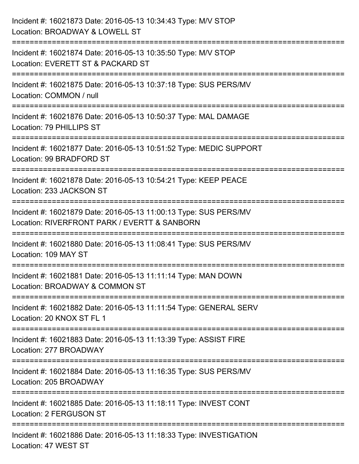| Incident #: 16021873 Date: 2016-05-13 10:34:43 Type: M/V STOP<br>Location: BROADWAY & LOWELL ST                                           |
|-------------------------------------------------------------------------------------------------------------------------------------------|
| .===============================<br>Incident #: 16021874 Date: 2016-05-13 10:35:50 Type: M/V STOP<br>Location: EVERETT ST & PACKARD ST    |
| Incident #: 16021875 Date: 2016-05-13 10:37:18 Type: SUS PERS/MV<br>Location: COMMON / null<br>=============================              |
| Incident #: 16021876 Date: 2016-05-13 10:50:37 Type: MAL DAMAGE<br>Location: 79 PHILLIPS ST<br>=================<br>--------------------- |
| Incident #: 16021877 Date: 2016-05-13 10:51:52 Type: MEDIC SUPPORT<br>Location: 99 BRADFORD ST                                            |
| Incident #: 16021878 Date: 2016-05-13 10:54:21 Type: KEEP PEACE<br>Location: 233 JACKSON ST                                               |
| Incident #: 16021879 Date: 2016-05-13 11:00:13 Type: SUS PERS/MV<br>Location: RIVERFRONT PARK / EVERTT & SANBORN                          |
| Incident #: 16021880 Date: 2016-05-13 11:08:41 Type: SUS PERS/MV<br>Location: 109 MAY ST                                                  |
| Incident #: 16021881 Date: 2016-05-13 11:11:14 Type: MAN DOWN<br>Location: BROADWAY & COMMON ST                                           |
| Incident #: 16021882 Date: 2016-05-13 11:11:54 Type: GENERAL SERV<br>Location: 20 KNOX ST FL 1                                            |
| Incident #: 16021883 Date: 2016-05-13 11:13:39 Type: ASSIST FIRE<br>Location: 277 BROADWAY                                                |
| Incident #: 16021884 Date: 2016-05-13 11:16:35 Type: SUS PERS/MV<br>Location: 205 BROADWAY                                                |
| Incident #: 16021885 Date: 2016-05-13 11:18:11 Type: INVEST CONT<br>Location: 2 FERGUSON ST                                               |
| Incident #: 16021886 Date: 2016-05-13 11:18:33 Type: INVESTIGATION<br>Location: 47 WEST ST                                                |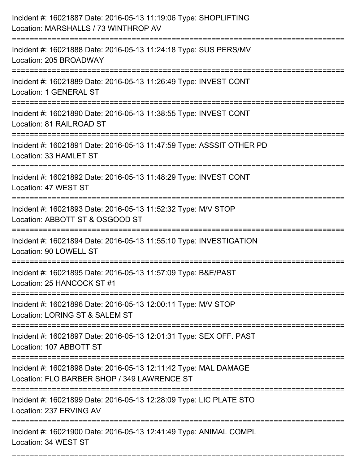| Incident #: 16021887 Date: 2016-05-13 11:19:06 Type: SHOPLIFTING<br>Location: MARSHALLS / 73 WINTHROP AV                    |
|-----------------------------------------------------------------------------------------------------------------------------|
| Incident #: 16021888 Date: 2016-05-13 11:24:18 Type: SUS PERS/MV<br>Location: 205 BROADWAY                                  |
| Incident #: 16021889 Date: 2016-05-13 11:26:49 Type: INVEST CONT<br><b>Location: 1 GENERAL ST</b>                           |
| Incident #: 16021890 Date: 2016-05-13 11:38:55 Type: INVEST CONT<br>Location: 81 RAILROAD ST                                |
| Incident #: 16021891 Date: 2016-05-13 11:47:59 Type: ASSSIT OTHER PD<br>Location: 33 HAMLET ST                              |
| Incident #: 16021892 Date: 2016-05-13 11:48:29 Type: INVEST CONT<br>Location: 47 WEST ST                                    |
| Incident #: 16021893 Date: 2016-05-13 11:52:32 Type: M/V STOP<br>Location: ABBOTT ST & OSGOOD ST                            |
| Incident #: 16021894 Date: 2016-05-13 11:55:10 Type: INVESTIGATION<br>Location: 90 LOWELL ST                                |
| Incident #: 16021895 Date: 2016-05-13 11:57:09 Type: B&E/PAST<br>Location: 25 HANCOCK ST #1                                 |
| Incident #: 16021896 Date: 2016-05-13 12:00:11 Type: M/V STOP<br>Location: LORING ST & SALEM ST                             |
| Incident #: 16021897 Date: 2016-05-13 12:01:31 Type: SEX OFF. PAST<br>Location: 107 ABBOTT ST                               |
| Incident #: 16021898 Date: 2016-05-13 12:11:42 Type: MAL DAMAGE<br>Location: FLO BARBER SHOP / 349 LAWRENCE ST              |
| ==========================<br>Incident #: 16021899 Date: 2016-05-13 12:28:09 Type: LIC PLATE STO<br>Location: 237 ERVING AV |
| Incident #: 16021900 Date: 2016-05-13 12:41:49 Type: ANIMAL COMPL<br>Location: 34 WEST ST                                   |

===========================================================================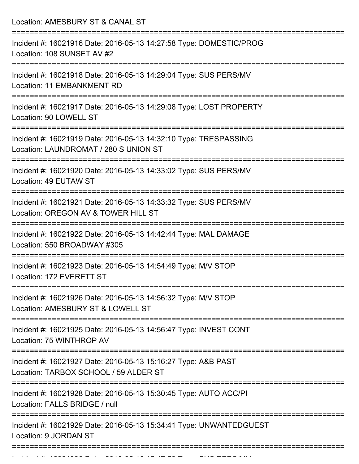| Location: AMESBURY ST & CANAL ST                                                                                                        |
|-----------------------------------------------------------------------------------------------------------------------------------------|
| Incident #: 16021916 Date: 2016-05-13 14:27:58 Type: DOMESTIC/PROG<br>Location: 108 SUNSET AV #2                                        |
| Incident #: 16021918 Date: 2016-05-13 14:29:04 Type: SUS PERS/MV<br>Location: 11 EMBANKMENT RD                                          |
| Incident #: 16021917 Date: 2016-05-13 14:29:08 Type: LOST PROPERTY<br>Location: 90 LOWELL ST                                            |
| Incident #: 16021919 Date: 2016-05-13 14:32:10 Type: TRESPASSING<br>Location: LAUNDROMAT / 280 S UNION ST<br>-------------------------- |
| Incident #: 16021920 Date: 2016-05-13 14:33:02 Type: SUS PERS/MV<br>Location: 49 EUTAW ST                                               |
| Incident #: 16021921 Date: 2016-05-13 14:33:32 Type: SUS PERS/MV<br>Location: OREGON AV & TOWER HILL ST                                 |
| Incident #: 16021922 Date: 2016-05-13 14:42:44 Type: MAL DAMAGE<br>Location: 550 BROADWAY #305                                          |
| Incident #: 16021923 Date: 2016-05-13 14:54:49 Type: M/V STOP<br>Location: 172 EVERETT ST                                               |
| Incident #: 16021926 Date: 2016-05-13 14:56:32 Type: M/V STOP<br>Location: AMESBURY ST & LOWELL ST                                      |
| =========================<br>Incident #: 16021925 Date: 2016-05-13 14:56:47 Type: INVEST CONT<br>Location: 75 WINTHROP AV               |
| Incident #: 16021927 Date: 2016-05-13 15:16:27 Type: A&B PAST<br>Location: TARBOX SCHOOL / 59 ALDER ST                                  |
| Incident #: 16021928 Date: 2016-05-13 15:30:45 Type: AUTO ACC/PI<br>Location: FALLS BRIDGE / null                                       |
| Incident #: 16021929 Date: 2016-05-13 15:34:41 Type: UNWANTEDGUEST<br>Location: 9 JORDAN ST                                             |

Incident #: 16021930 Date: 2016 05 15:47:53 Type: Sub-Sus PERS/MV<br>|-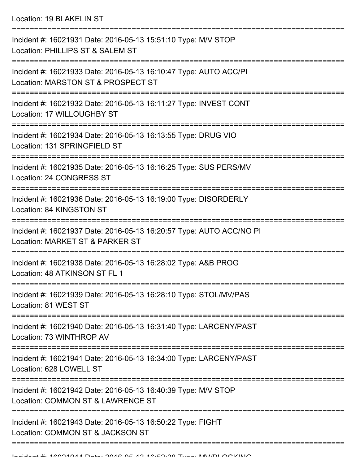Location: 19 BLAKELIN ST

| Incident #: 16021931 Date: 2016-05-13 15:51:10 Type: M/V STOP<br>Location: PHILLIPS ST & SALEM ST                                                                   |
|---------------------------------------------------------------------------------------------------------------------------------------------------------------------|
| Incident #: 16021933 Date: 2016-05-13 16:10:47 Type: AUTO ACC/PI<br>Location: MARSTON ST & PROSPECT ST                                                              |
| Incident #: 16021932 Date: 2016-05-13 16:11:27 Type: INVEST CONT<br>Location: 17 WILLOUGHBY ST                                                                      |
| Incident #: 16021934 Date: 2016-05-13 16:13:55 Type: DRUG VIO<br>Location: 131 SPRINGFIELD ST                                                                       |
| Incident #: 16021935 Date: 2016-05-13 16:16:25 Type: SUS PERS/MV<br>Location: 24 CONGRESS ST                                                                        |
| Incident #: 16021936 Date: 2016-05-13 16:19:00 Type: DISORDERLY<br>Location: 84 KINGSTON ST                                                                         |
| Incident #: 16021937 Date: 2016-05-13 16:20:57 Type: AUTO ACC/NO PI<br>Location: MARKET ST & PARKER ST                                                              |
| Incident #: 16021938 Date: 2016-05-13 16:28:02 Type: A&B PROG<br>Location: 48 ATKINSON ST FL 1                                                                      |
| Incident #: 16021939 Date: 2016-05-13 16:28:10 Type: STOL/MV/PAS<br>Location: 81 WEST ST                                                                            |
| Incident #: 16021940 Date: 2016-05-13 16:31:40 Type: LARCENY/PAST<br>Location: 73 WINTHROP AV                                                                       |
| ===========================<br>Incident #: 16021941 Date: 2016-05-13 16:34:00 Type: LARCENY/PAST<br>Location: 628 LOWELL ST                                         |
| =======================<br>==================================<br>Incident #: 16021942 Date: 2016-05-13 16:40:39 Type: M/V STOP<br>Location: COMMON ST & LAWRENCE ST |
| Incident #: 16021943 Date: 2016-05-13 16:50:22 Type: FIGHT<br>Location: COMMON ST & JACKSON ST                                                                      |
|                                                                                                                                                                     |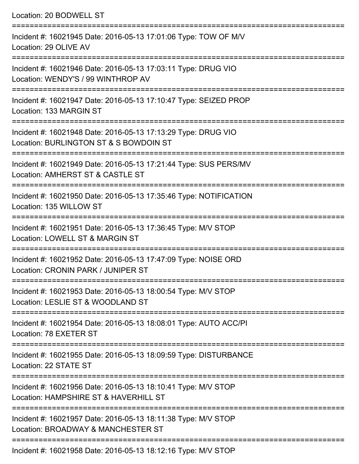| Location: 20 BODWELL ST                                                                                                         |
|---------------------------------------------------------------------------------------------------------------------------------|
| Incident #: 16021945 Date: 2016-05-13 17:01:06 Type: TOW OF M/V<br>Location: 29 OLIVE AV                                        |
| Incident #: 16021946 Date: 2016-05-13 17:03:11 Type: DRUG VIO<br>Location: WENDY'S / 99 WINTHROP AV<br>:======================= |
| Incident #: 16021947 Date: 2016-05-13 17:10:47 Type: SEIZED PROP<br>Location: 133 MARGIN ST                                     |
| Incident #: 16021948 Date: 2016-05-13 17:13:29 Type: DRUG VIO<br>Location: BURLINGTON ST & S BOWDOIN ST                         |
| Incident #: 16021949 Date: 2016-05-13 17:21:44 Type: SUS PERS/MV<br>Location: AMHERST ST & CASTLE ST                            |
| Incident #: 16021950 Date: 2016-05-13 17:35:46 Type: NOTIFICATION<br>Location: 135 WILLOW ST                                    |
| Incident #: 16021951 Date: 2016-05-13 17:36:45 Type: M/V STOP<br>Location: LOWELL ST & MARGIN ST                                |
| Incident #: 16021952 Date: 2016-05-13 17:47:09 Type: NOISE ORD<br>Location: CRONIN PARK / JUNIPER ST                            |
| Incident #: 16021953 Date: 2016-05-13 18:00:54 Type: M/V STOP<br>Location: LESLIE ST & WOODLAND ST                              |
| Incident #: 16021954 Date: 2016-05-13 18:08:01 Type: AUTO ACC/PI<br>Location: 78 EXETER ST                                      |
| Incident #: 16021955 Date: 2016-05-13 18:09:59 Type: DISTURBANCE<br>Location: 22 STATE ST                                       |
| Incident #: 16021956 Date: 2016-05-13 18:10:41 Type: M/V STOP<br>Location: HAMPSHIRE ST & HAVERHILL ST                          |
| Incident #: 16021957 Date: 2016-05-13 18:11:38 Type: M/V STOP<br>Location: BROADWAY & MANCHESTER ST                             |
|                                                                                                                                 |

Incident #: 16021958 Date: 2016-05-13 18:12:16 Type: M/V STOP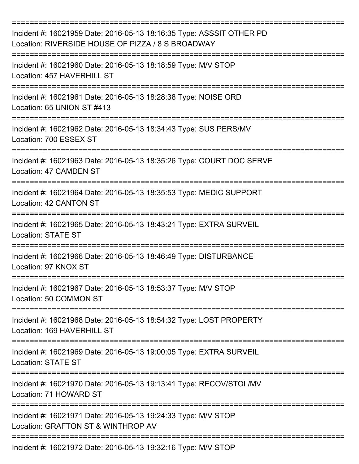| Incident #: 16021959 Date: 2016-05-13 18:16:35 Type: ASSSIT OTHER PD<br>Location: RIVERSIDE HOUSE OF PIZZA / 8 S BROADWAY |
|---------------------------------------------------------------------------------------------------------------------------|
| Incident #: 16021960 Date: 2016-05-13 18:18:59 Type: M/V STOP<br>Location: 457 HAVERHILL ST                               |
| Incident #: 16021961 Date: 2016-05-13 18:28:38 Type: NOISE ORD<br>Location: 65 UNION ST #413                              |
| Incident #: 16021962 Date: 2016-05-13 18:34:43 Type: SUS PERS/MV<br>Location: 700 ESSEX ST                                |
| Incident #: 16021963 Date: 2016-05-13 18:35:26 Type: COURT DOC SERVE<br>Location: 47 CAMDEN ST                            |
| Incident #: 16021964 Date: 2016-05-13 18:35:53 Type: MEDIC SUPPORT<br>Location: 42 CANTON ST                              |
| Incident #: 16021965 Date: 2016-05-13 18:43:21 Type: EXTRA SURVEIL<br><b>Location: STATE ST</b>                           |
| Incident #: 16021966 Date: 2016-05-13 18:46:49 Type: DISTURBANCE<br>Location: 97 KNOX ST                                  |
| Incident #: 16021967 Date: 2016-05-13 18:53:37 Type: M/V STOP<br>Location: 50 COMMON ST                                   |
| Incident #: 16021968 Date: 2016-05-13 18:54:32 Type: LOST PROPERTY<br>Location: 169 HAVERHILL ST                          |
| Incident #: 16021969 Date: 2016-05-13 19:00:05 Type: EXTRA SURVEIL<br><b>Location: STATE ST</b>                           |
| Incident #: 16021970 Date: 2016-05-13 19:13:41 Type: RECOV/STOL/MV<br>Location: 71 HOWARD ST                              |
| Incident #: 16021971 Date: 2016-05-13 19:24:33 Type: M/V STOP<br>Location: GRAFTON ST & WINTHROP AV                       |
| Incident #: 16021972 Date: 2016-05-13 19:32:16 Type: M/V STOP                                                             |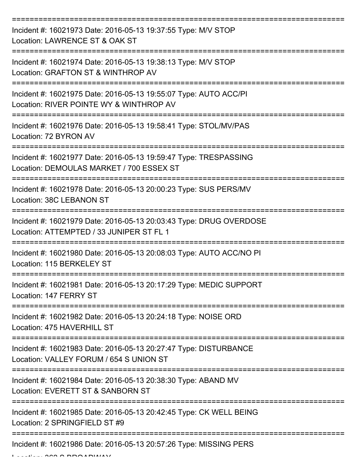| Incident #: 16021973 Date: 2016-05-13 19:37:55 Type: M/V STOP<br>Location: LAWRENCE ST & OAK ST                |
|----------------------------------------------------------------------------------------------------------------|
| Incident #: 16021974 Date: 2016-05-13 19:38:13 Type: M/V STOP<br>Location: GRAFTON ST & WINTHROP AV            |
| Incident #: 16021975 Date: 2016-05-13 19:55:07 Type: AUTO ACC/PI<br>Location: RIVER POINTE WY & WINTHROP AV    |
| Incident #: 16021976 Date: 2016-05-13 19:58:41 Type: STOL/MV/PAS<br>Location: 72 BYRON AV                      |
| Incident #: 16021977 Date: 2016-05-13 19:59:47 Type: TRESPASSING<br>Location: DEMOULAS MARKET / 700 ESSEX ST   |
| Incident #: 16021978 Date: 2016-05-13 20:00:23 Type: SUS PERS/MV<br>Location: 38C LEBANON ST                   |
| Incident #: 16021979 Date: 2016-05-13 20:03:43 Type: DRUG OVERDOSE<br>Location: ATTEMPTED / 33 JUNIPER ST FL 1 |
| Incident #: 16021980 Date: 2016-05-13 20:08:03 Type: AUTO ACC/NO PI<br>Location: 115 BERKELEY ST               |
| Incident #: 16021981 Date: 2016-05-13 20:17:29 Type: MEDIC SUPPORT<br>Location: 147 FERRY ST                   |
| Incident #: 16021982 Date: 2016-05-13 20:24:18 Type: NOISE ORD<br>Location: 475 HAVERHILL ST                   |
| Incident #: 16021983 Date: 2016-05-13 20:27:47 Type: DISTURBANCE<br>Location: VALLEY FORUM / 654 S UNION ST    |
| Incident #: 16021984 Date: 2016-05-13 20:38:30 Type: ABAND MV<br>Location: EVERETT ST & SANBORN ST             |
| Incident #: 16021985 Date: 2016-05-13 20:42:45 Type: CK WELL BEING<br>Location: 2 SPRINGFIELD ST #9            |
| Incident #: 16021986 Date: 2016-05-13 20:57:26 Type: MISSING PERS                                              |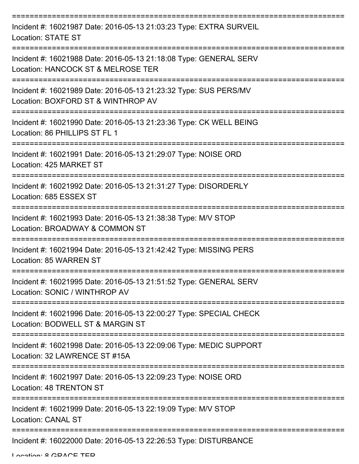| Incident #: 16021987 Date: 2016-05-13 21:03:23 Type: EXTRA SURVEIL<br><b>Location: STATE ST</b>         |
|---------------------------------------------------------------------------------------------------------|
| Incident #: 16021988 Date: 2016-05-13 21:18:08 Type: GENERAL SERV<br>Location: HANCOCK ST & MELROSE TER |
| Incident #: 16021989 Date: 2016-05-13 21:23:32 Type: SUS PERS/MV<br>Location: BOXFORD ST & WINTHROP AV  |
| Incident #: 16021990 Date: 2016-05-13 21:23:36 Type: CK WELL BEING<br>Location: 86 PHILLIPS ST FL 1     |
| Incident #: 16021991 Date: 2016-05-13 21:29:07 Type: NOISE ORD<br>Location: 425 MARKET ST               |
| Incident #: 16021992 Date: 2016-05-13 21:31:27 Type: DISORDERLY<br>Location: 685 ESSEX ST               |
| Incident #: 16021993 Date: 2016-05-13 21:38:38 Type: M/V STOP<br>Location: BROADWAY & COMMON ST         |
| Incident #: 16021994 Date: 2016-05-13 21:42:42 Type: MISSING PERS<br>Location: 85 WARREN ST             |
| Incident #: 16021995 Date: 2016-05-13 21:51:52 Type: GENERAL SERV<br>Location: SONIC / WINTHROP AV      |
| Incident #: 16021996 Date: 2016-05-13 22:00:27 Type: SPECIAL CHECK<br>Location: BODWELL ST & MARGIN ST  |
| Incident #: 16021998 Date: 2016-05-13 22:09:06 Type: MEDIC SUPPORT<br>Location: 32 LAWRENCE ST #15A     |
| Incident #: 16021997 Date: 2016-05-13 22:09:23 Type: NOISE ORD<br>Location: 48 TRENTON ST               |
| Incident #: 16021999 Date: 2016-05-13 22:19:09 Type: M/V STOP<br><b>Location: CANAL ST</b>              |
| Incident #: 16022000 Date: 2016-05-13 22:26:53 Type: DISTURBANCE                                        |